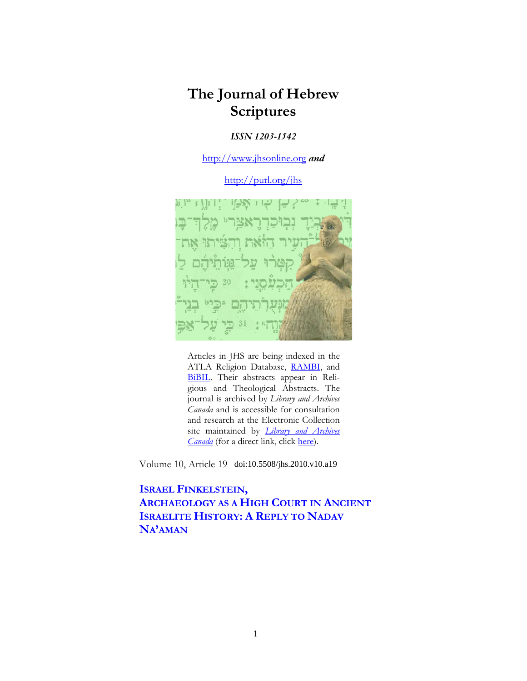# **The Journal of Hebrew Scriptures**

### *ISSN 1203-1542*

[http://www.jhsonline.org](http://www.jhsonline.org/) *and*

<http://purl.org/jhs>



Articles in JHS are being indexed in the ATLA Religion Database, [RAMBI,](http://jnul.huji.ac.il/rambi/) and [BiBIL.](https://wwwdbunil.unil.ch/bibil/bi/en/bibilhome.html) Their abstracts appear in Religious and Theological Abstracts. The journal is archived by *Library and Archives Canada* and is accessible for consultation and research at the Electronic Collection site maintained by *[Library and Archives](http://collectionscanada.ca/electroniccollection/003008-200-e.html)  [Canada](http://collectionscanada.ca/electroniccollection/003008-200-e.html)* (for a direct link, click [here\)](http://epe.lac-bac.gc.ca/100/201/300/journal_hebrew/index.html).

Volume 10, Article 19 doi:10.5508/jhs.2010.v10.a19

**ISRAEL FINKELSTEIN, ARCHAEOLOGY AS A HIGH COURT IN ANCIENT ISRAELITE HISTORY: A REPLY TO NADAV NA'AMAN**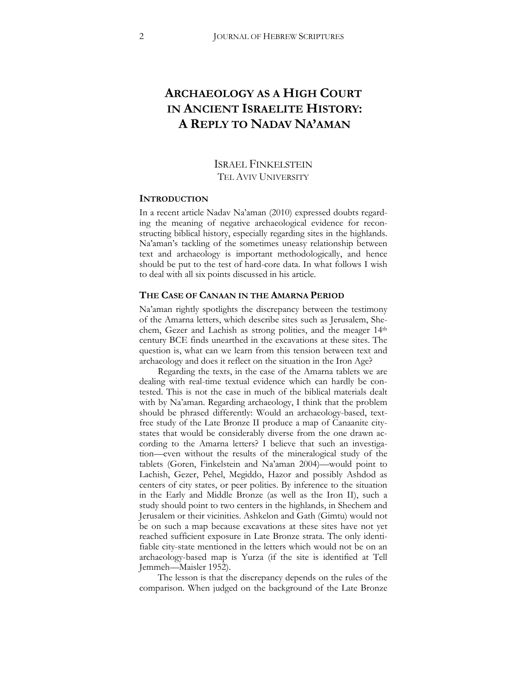## **ARCHAEOLOGY AS A HIGH COURT IN ANCIENT ISRAELITE HISTORY: A REPLY TO NADAV NA'AMAN**

### ISRAEL FINKELSTEIN TEL AVIV UNIVERSITY

### **INTRODUCTION**

In a recent article Nadav Na'aman (2010) expressed doubts regarding the meaning of negative archaeological evidence for reconstructing biblical history, especially regarding sites in the highlands. Na'aman's tackling of the sometimes uneasy relationship between text and archaeology is important methodologically, and hence should be put to the test of hard-core data. In what follows I wish to deal with all six points discussed in his article.

### **THE CASE OF CANAAN IN THE AMARNA PERIOD**

Na'aman rightly spotlights the discrepancy between the testimony of the Amarna letters, which describe sites such as Jerusalem, Shechem, Gezer and Lachish as strong polities, and the meager 14th century BCE finds unearthed in the excavations at these sites. The question is, what can we learn from this tension between text and archaeology and does it reflect on the situation in the Iron Age?

Regarding the texts, in the case of the Amarna tablets we are dealing with real-time textual evidence which can hardly be contested. This is not the case in much of the biblical materials dealt with by Na'aman. Regarding archaeology, I think that the problem should be phrased differently: Would an archaeology-based, textfree study of the Late Bronze II produce a map of Canaanite citystates that would be considerably diverse from the one drawn according to the Amarna letters? I believe that such an investigation—even without the results of the mineralogical study of the tablets (Goren, Finkelstein and Na'aman 2004)—would point to Lachish, Gezer, Pehel, Megiddo, Hazor and possibly Ashdod as centers of city states, or peer polities. By inference to the situation in the Early and Middle Bronze (as well as the Iron II), such a study should point to two centers in the highlands, in Shechem and Jerusalem or their vicinities. Ashkelon and Gath (Gimtu) would not be on such a map because excavations at these sites have not yet reached sufficient exposure in Late Bronze strata. The only identifiable city-state mentioned in the letters which would not be on an archaeology-based map is Yurza (if the site is identified at Tell Jemmeh—Maisler 1952).

The lesson is that the discrepancy depends on the rules of the comparison. When judged on the background of the Late Bronze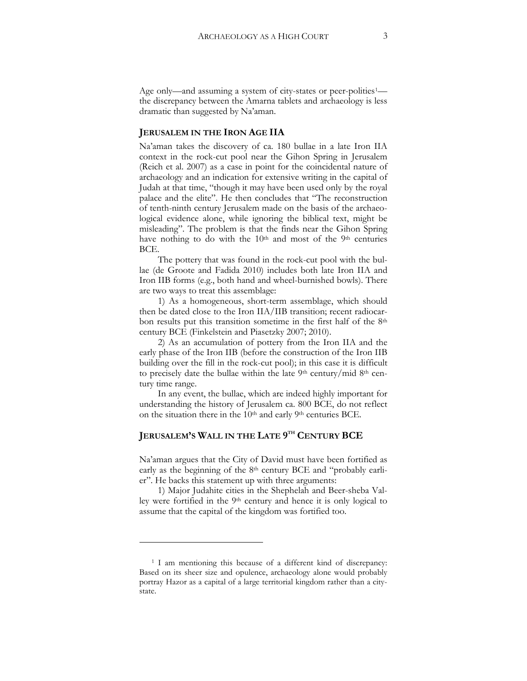Age only—and assuming a system of city-states or peer-polities<sup>[1](#page-2-0)</sup> the discrepancy between the Amarna tablets and archaeology is less dramatic than suggested by Na'aman.

### **JERUSALEM IN THE IRON AGE IIA**

Na'aman takes the discovery of ca. 180 bullae in a late Iron IIA context in the rock-cut pool near the Gihon Spring in Jerusalem (Reich et al. 2007) as a case in point for the coincidental nature of archaeology and an indication for extensive writing in the capital of Judah at that time, "though it may have been used only by the royal palace and the elite". He then concludes that "The reconstruction of tenth-ninth century Jerusalem made on the basis of the archaeological evidence alone, while ignoring the biblical text, might be misleading". The problem is that the finds near the Gihon Spring have nothing to do with the 10<sup>th</sup> and most of the 9<sup>th</sup> centuries BCE.

The pottery that was found in the rock-cut pool with the bullae (de Groote and Fadida 2010) includes both late Iron IIA and Iron IIB forms (e.g., both hand and wheel-burnished bowls). There are two ways to treat this assemblage:

1) As a homogeneous, short-term assemblage, which should then be dated close to the Iron IIA/IIB transition; recent radiocarbon results put this transition sometime in the first half of the 8th century BCE (Finkelstein and Piasetzky 2007; 2010).

2) As an accumulation of pottery from the Iron IIA and the early phase of the Iron IIB (before the construction of the Iron IIB building over the fill in the rock-cut pool); in this case it is difficult to precisely date the bullae within the late 9th century/mid 8th century time range.

In any event, the bullae, which are indeed highly important for understanding the history of Jerusalem ca. 800 BCE, do not reflect on the situation there in the 10<sup>th</sup> and early 9<sup>th</sup> centuries BCE.

### **JERUSALEM'S WALL IN THE LATE 9TH CENTURY BCE**

Na'aman argues that the City of David must have been fortified as early as the beginning of the 8<sup>th</sup> century BCE and "probably earlier". He backs this statement up with three arguments:

1) Major Judahite cities in the Shephelah and Beer-sheba Valley were fortified in the 9th century and hence it is only logical to assume that the capital of the kingdom was fortified too.

 $\overline{a}$ 

<span id="page-2-0"></span><sup>1</sup> I am mentioning this because of a different kind of discrepancy: Based on its sheer size and opulence, archaeology alone would probably portray Hazor as a capital of a large territorial kingdom rather than a citystate.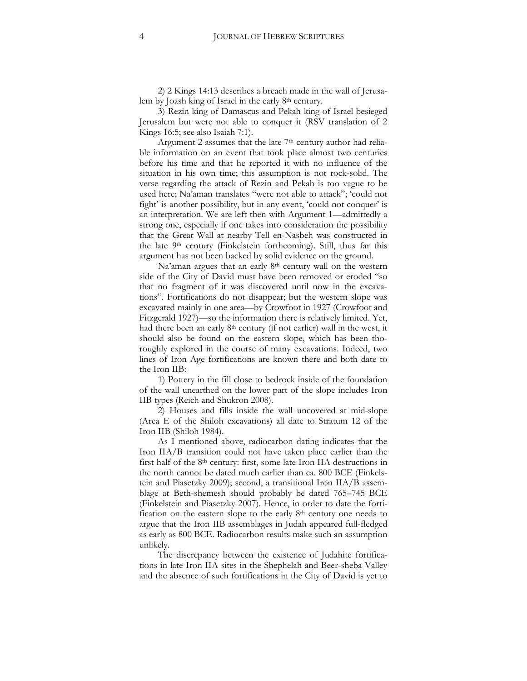2) 2 Kings 14:13 describes a breach made in the wall of Jerusalem by Joash king of Israel in the early 8th century.

3) Rezin king of Damascus and Pekah king of Israel besieged Jerusalem but were not able to conquer it (RSV translation of 2 Kings 16:5; see also Isaiah 7:1).

Argument 2 assumes that the late  $7<sup>th</sup>$  century author had reliable information on an event that took place almost two centuries before his time and that he reported it with no influence of the situation in his own time; this assumption is not rock-solid. The verse regarding the attack of Rezin and Pekah is too vague to be used here; Na'aman translates "were not able to attack"; 'could not fight' is another possibility, but in any event, 'could not conquer' is an interpretation. We are left then with Argument 1—admittedly a strong one, especially if one takes into consideration the possibility that the Great Wall at nearby Tell en-Nasbeh was constructed in the late 9th century (Finkelstein forthcoming). Still, thus far this argument has not been backed by solid evidence on the ground.

Na'aman argues that an early 8<sup>th</sup> century wall on the western side of the City of David must have been removed or eroded "so that no fragment of it was discovered until now in the excavations". Fortifications do not disappear; but the western slope was excavated mainly in one area—by Crowfoot in 1927 (Crowfoot and Fitzgerald 1927)—so the information there is relatively limited. Yet, had there been an early 8<sup>th</sup> century (if not earlier) wall in the west, it should also be found on the eastern slope, which has been thoroughly explored in the course of many excavations. Indeed, two lines of Iron Age fortifications are known there and both date to the Iron IIB:

1) Pottery in the fill close to bedrock inside of the foundation of the wall unearthed on the lower part of the slope includes Iron IIB types (Reich and Shukron 2008).

2) Houses and fills inside the wall uncovered at mid-slope (Area E of the Shiloh excavations) all date to Stratum 12 of the Iron IIB (Shiloh 1984).

As I mentioned above, radiocarbon dating indicates that the Iron IIA/B transition could not have taken place earlier than the first half of the 8th century: first, some late Iron IIA destructions in the north cannot be dated much earlier than ca. 800 BCE (Finkelstein and Piasetzky 2009); second, a transitional Iron  $IIA/B$  assemblage at Beth-shemesh should probably be dated 765–745 BCE (Finkelstein and Piasetzky 2007). Hence, in order to date the fortification on the eastern slope to the early 8<sup>th</sup> century one needs to argue that the Iron IIB assemblages in Judah appeared full-fledged as early as 800 BCE. Radiocarbon results make such an assumption unlikely.

The discrepancy between the existence of Judahite fortifications in late Iron IIA sites in the Shephelah and Beer-sheba Valley and the absence of such fortifications in the City of David is yet to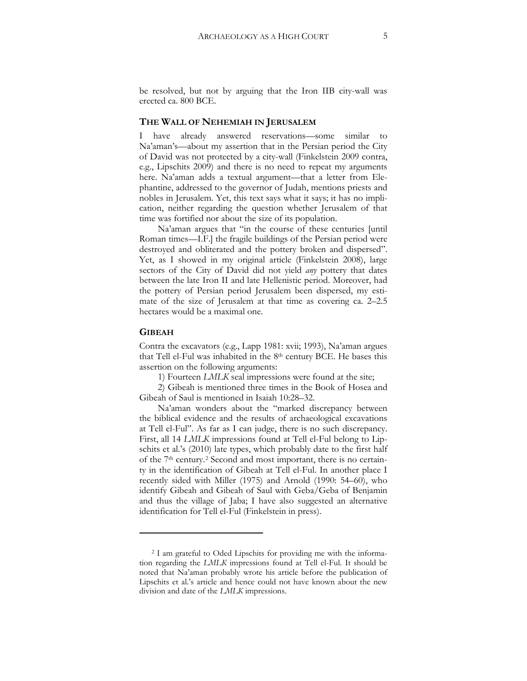be resolved, but not by arguing that the Iron IIB city-wall was erected ca. 800 BCE.

#### **THE WALL OF NEHEMIAH IN JERUSALEM**

I have already answered reservations—some similar to Na'aman's—about my assertion that in the Persian period the City of David was not protected by a city-wall (Finkelstein 2009 contra, e.g., Lipschits 2009) and there is no need to repeat my arguments here. Na'aman adds a textual argument—that a letter from Elephantine, addressed to the governor of Judah, mentions priests and nobles in Jerusalem. Yet, this text says what it says; it has no implication, neither regarding the question whether Jerusalem of that time was fortified nor about the size of its population.

Na'aman argues that "in the course of these centuries [until Roman times—I.F.] the fragile buildings of the Persian period were destroyed and obliterated and the pottery broken and dispersed". Yet, as I showed in my original article (Finkelstein 2008), large sectors of the City of David did not yield *any* pottery that dates between the late Iron II and late Hellenistic period. Moreover, had the pottery of Persian period Jerusalem been dispersed, my estimate of the size of Jerusalem at that time as covering ca. 2–2.5 hectares would be a maximal one.

#### **GIBEAH**

 $\overline{a}$ 

Contra the excavators (e.g., Lapp 1981: xvii; 1993), Na'aman argues that Tell el-Ful was inhabited in the 8th century BCE. He bases this assertion on the following arguments:

1) Fourteen *LMLK* seal impressions were found at the site;

2) Gibeah is mentioned three times in the Book of Hosea and Gibeah of Saul is mentioned in Isaiah 10:28–32.

Na'aman wonders about the "marked discrepancy between the biblical evidence and the results of archaeological excavations at Tell el-Ful". As far as I can judge, there is no such discrepancy. First, all 14 *LMLK* impressions found at Tell el-Ful belong to Lipschits et al.'s (2010) late types, which probably date to the first half of the 7th century.[2](#page-4-0) Second and most important, there is no certainty in the identification of Gibeah at Tell el-Ful. In another place I recently sided with Miller (1975) and Arnold (1990: 54–60), who identify Gibeah and Gibeah of Saul with Geba/Geba of Benjamin and thus the village of Jaba; I have also suggested an alternative identification for Tell el-Ful (Finkelstein in press).

<span id="page-4-0"></span><sup>2</sup> I am grateful to Oded Lipschits for providing me with the information regarding the *LMLK* impressions found at Tell el-Ful. It should be noted that Na'aman probably wrote his article before the publication of Lipschits et al.'s article and hence could not have known about the new division and date of the *LMLK* impressions.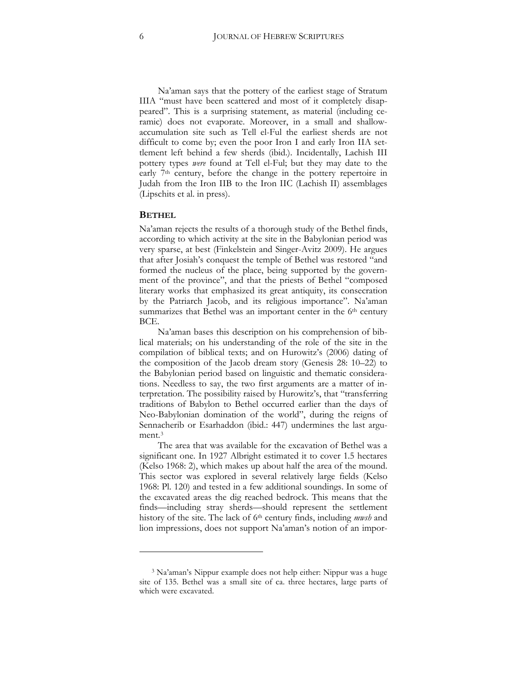Na'aman says that the pottery of the earliest stage of Stratum IIIA "must have been scattered and most of it completely disappeared". This is a surprising statement, as material (including ceramic) does not evaporate. Moreover, in a small and shallowaccumulation site such as Tell el-Ful the earliest sherds are not difficult to come by; even the poor Iron I and early Iron IIA settlement left behind a few sherds (ibid.). Incidentally, Lachish III pottery types *were* found at Tell el-Ful; but they may date to the early 7<sup>th</sup> century, before the change in the pottery repertoire in Judah from the Iron IIB to the Iron IIC (Lachish II) assemblages (Lipschits et al. in press).

#### **BETHEL**

 $\overline{a}$ 

Na'aman rejects the results of a thorough study of the Bethel finds, according to which activity at the site in the Babylonian period was very sparse, at best (Finkelstein and Singer-Avitz 2009). He argues that after Josiah's conquest the temple of Bethel was restored "and formed the nucleus of the place, being supported by the government of the province", and that the priests of Bethel "composed literary works that emphasized its great antiquity, its consecration by the Patriarch Jacob, and its religious importance". Na'aman summarizes that Bethel was an important center in the 6<sup>th</sup> century BCE.

Na'aman bases this description on his comprehension of biblical materials; on his understanding of the role of the site in the compilation of biblical texts; and on Hurowitz's (2006) dating of the composition of the Jacob dream story (Genesis 28: 10–22) to the Babylonian period based on linguistic and thematic considerations. Needless to say, the two first arguments are a matter of interpretation. The possibility raised by Hurowitz's, that "transferring traditions of Babylon to Bethel occurred earlier than the days of Neo-Babylonian domination of the world", during the reigns of Sennacherib or Esarhaddon (ibid.: 447) undermines the last argument.[3](#page-5-0)

The area that was available for the excavation of Bethel was a significant one. In 1927 Albright estimated it to cover 1.5 hectares (Kelso 1968: 2), which makes up about half the area of the mound. This sector was explored in several relatively large fields (Kelso 1968: Pl. 120) and tested in a few additional soundings. In some of the excavated areas the dig reached bedrock. This means that the finds—including stray sherds—should represent the settlement history of the site. The lack of 6th century finds, including *mwsh* and lion impressions, does not support Na'aman's notion of an impor-

<span id="page-5-0"></span><sup>3</sup> Na'aman's Nippur example does not help either: Nippur was a huge site of 135. Bethel was a small site of ca. three hectares, large parts of which were excavated.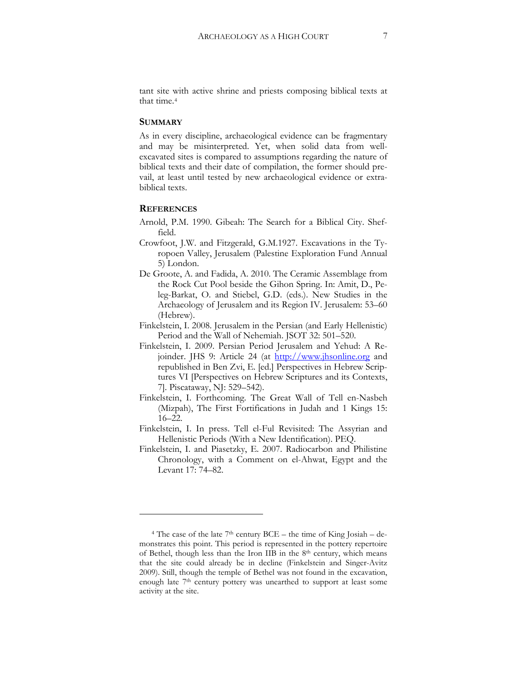tant site with active shrine and priests composing biblical texts at that time.[4](#page-6-0)

### **SUMMARY**

As in every discipline, archaeological evidence can be fragmentary and may be misinterpreted. Yet, when solid data from wellexcavated sites is compared to assumptions regarding the nature of biblical texts and their date of compilation, the former should prevail, at least until tested by new archaeological evidence or extrabiblical texts.

### **REFERENCES**

 $\overline{a}$ 

- Arnold, P.M. 1990. Gibeah: The Search for a Biblical City. Sheffield.
- Crowfoot, J.W. and Fitzgerald, G.M.1927. Excavations in the Tyropoen Valley, Jerusalem (Palestine Exploration Fund Annual 5) London.
- De Groote, A. and Fadida, A. 2010. The Ceramic Assemblage from the Rock Cut Pool beside the Gihon Spring. In: Amit, D., Peleg-Barkat, O. and Stiebel, G.D. (eds.). New Studies in the Archaeology of Jerusalem and its Region IV. Jerusalem: 53–60 (Hebrew).
- Finkelstein, I. 2008. Jerusalem in the Persian (and Early Hellenistic) Period and the Wall of Nehemiah. JSOT 32: 501–520.
- Finkelstein, I. 2009. Persian Period Jerusalem and Yehud: A Rejoinder. JHS 9: Article 24 (at [http://www.jhsonline.org](http://www.jhsonline.org/) and republished in Ben Zvi, E. [ed.] Perspectives in Hebrew Scriptures VI [Perspectives on Hebrew Scriptures and its Contexts, 7]. Piscataway, NJ: 529–542).
- Finkelstein, I. Forthcoming. The Great Wall of Tell en-Nasbeh (Mizpah), The First Fortifications in Judah and 1 Kings 15: 16–22.
- Finkelstein, I. In press. Tell el-Ful Revisited: The Assyrian and Hellenistic Periods (With a New Identification). PEQ.
- Finkelstein, I. and Piasetzky, E. 2007. Radiocarbon and Philistine Chronology, with a Comment on el-Ahwat, Egypt and the Levant 17: 74–82.

<span id="page-6-0"></span> $4$  The case of the late 7<sup>th</sup> century BCE – the time of King Josiah – demonstrates this point. This period is represented in the pottery repertoire of Bethel, though less than the Iron IIB in the 8th century, which means that the site could already be in decline (Finkelstein and Singer-Avitz 2009). Still, though the temple of Bethel was not found in the excavation, enough late 7th century pottery was unearthed to support at least some activity at the site.